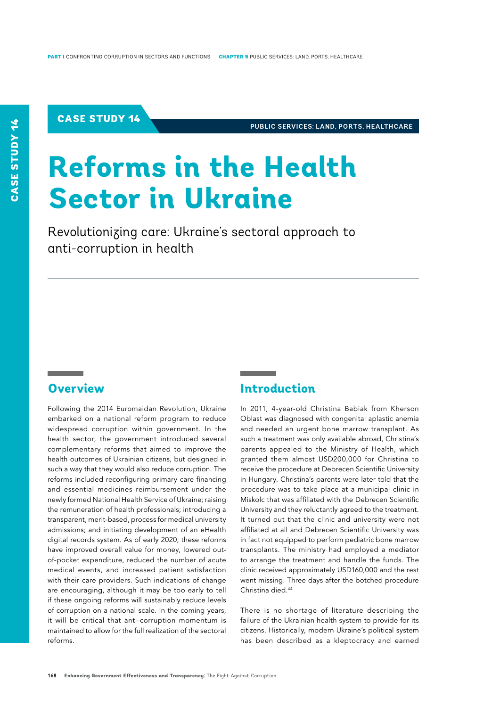## CASE STUDY 14

**PUBLIC SERVICES: LAND, PORTS, HEALTHCARE**

# **Reforms in the Health Sector in Ukraine**

Revolutionizing care: Ukraine's sectoral approach to anti-corruption in health

# **Overview**

Following the 2014 Euromaidan Revolution, Ukraine embarked on a national reform program to reduce widespread corruption within government. In the health sector, the government introduced several complementary reforms that aimed to improve the health outcomes of Ukrainian citizens, but designed in such a way that they would also reduce corruption. The reforms included reconfiguring primary care financing and essential medicines reimbursement under the newly formed National Health Service of Ukraine; raising the remuneration of health professionals; introducing a transparent, merit-based, process for medical university admissions; and initiating development of an eHealth digital records system. As of early 2020, these reforms have improved overall value for money, lowered outof-pocket expenditure, reduced the number of acute medical events, and increased patient satisfaction with their care providers. Such indications of change are encouraging, although it may be too early to tell if these ongoing reforms will sustainably reduce levels of corruption on a national scale. In the coming years, it will be critical that anti-corruption momentum is maintained to allow for the full realization of the sectoral reforms.

# **Introduction**

In 2011, 4-year-old Christina Babiak from Kherson Oblast was diagnosed with congenital aplastic anemia and needed an urgent bone marrow transplant. As such a treatment was only available abroad, Christina's parents appealed to the Ministry of Health, which granted them almost USD200,000 for Christina to receive the procedure at Debrecen Scientific University in Hungary. Christina's parents were later told that the procedure was to take place at a municipal clinic in Miskolc that was affiliated with the Debrecen Scientific University and they reluctantly agreed to the treatment. It turned out that the clinic and university were not affiliated at all and Debrecen Scientific University was in fact not equipped to perform pediatric bone marrow transplants. The ministry had employed a mediator to arrange the treatment and handle the funds. The clinic received approximately USD160,000 and the rest went missing. Three days after the botched procedure Christina died.44

There is no shortage of literature describing the failure of the Ukrainian health system to provide for its citizens. Historically, modern Ukraine's political system has been described as a kleptocracy and earned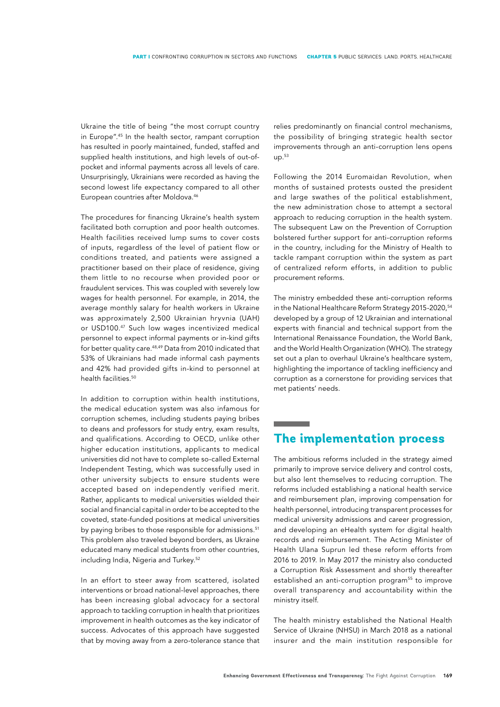Ukraine the title of being "the most corrupt country in Europe".45 In the health sector, rampant corruption has resulted in poorly maintained, funded, staffed and supplied health institutions, and high levels of out-ofpocket and informal payments across all levels of care. Unsurprisingly, Ukrainians were recorded as having the second lowest life expectancy compared to all other European countries after Moldova.<sup>46</sup>

The procedures for financing Ukraine's health system facilitated both corruption and poor health outcomes. Health facilities received lump sums to cover costs of inputs, regardless of the level of patient flow or conditions treated, and patients were assigned a practitioner based on their place of residence, giving them little to no recourse when provided poor or fraudulent services. This was coupled with severely low wages for health personnel. For example, in 2014, the average monthly salary for health workers in Ukraine was approximately 2,500 Ukrainian hryvnia (UAH) or USD100.47 Such low wages incentivized medical personnel to expect informal payments or in-kind gifts for better quality care.48,49 Data from 2010 indicated that 53% of Ukrainians had made informal cash payments and 42% had provided gifts in-kind to personnel at health facilities.<sup>50</sup>

In addition to corruption within health institutions, the medical education system was also infamous for corruption schemes, including students paying bribes to deans and professors for study entry, exam results, and qualifications. According to OECD, unlike other higher education institutions, applicants to medical universities did not have to complete so-called External Independent Testing, which was successfully used in other university subjects to ensure students were accepted based on independently verified merit. Rather, applicants to medical universities wielded their social and financial capital in order to be accepted to the coveted, state-funded positions at medical universities by paying bribes to those responsible for admissions.<sup>51</sup> This problem also traveled beyond borders, as Ukraine educated many medical students from other countries, including India, Nigeria and Turkey.<sup>52</sup>

In an effort to steer away from scattered, isolated interventions or broad national-level approaches, there has been increasing global advocacy for a sectoral approach to tackling corruption in health that prioritizes improvement in health outcomes as the key indicator of success. Advocates of this approach have suggested that by moving away from a zero-tolerance stance that

relies predominantly on financial control mechanisms, the possibility of bringing strategic health sector improvements through an anti-corruption lens opens up.53

Following the 2014 Euromaidan Revolution, when months of sustained protests ousted the president and large swathes of the political establishment, the new administration chose to attempt a sectoral approach to reducing corruption in the health system. The subsequent Law on the Prevention of Corruption bolstered further support for anti-corruption reforms in the country, including for the Ministry of Health to tackle rampant corruption within the system as part of centralized reform efforts, in addition to public procurement reforms.

The ministry embedded these anti-corruption reforms in the National Healthcare Reform Strategy 2015-2020,<sup>54</sup> developed by a group of 12 Ukrainian and international experts with financial and technical support from the International Renaissance Foundation, the World Bank, and the World Health Organization (WHO). The strategy set out a plan to overhaul Ukraine's healthcare system, highlighting the importance of tackling inefficiency and corruption as a cornerstone for providing services that met patients' needs.

# **The implementation process**

The ambitious reforms included in the strategy aimed primarily to improve service delivery and control costs, but also lent themselves to reducing corruption. The reforms included establishing a national health service and reimbursement plan, improving compensation for health personnel, introducing transparent processes for medical university admissions and career progression, and developing an eHealth system for digital health records and reimbursement. The Acting Minister of Health Ulana Suprun led these reform efforts from 2016 to 2019. In May 2017 the ministry also conducted a Corruption Risk Assessment and shortly thereafter established an anti-corruption program<sup>55</sup> to improve overall transparency and accountability within the ministry itself.

The health ministry established the National Health Service of Ukraine (NHSU) in March 2018 as a national insurer and the main institution responsible for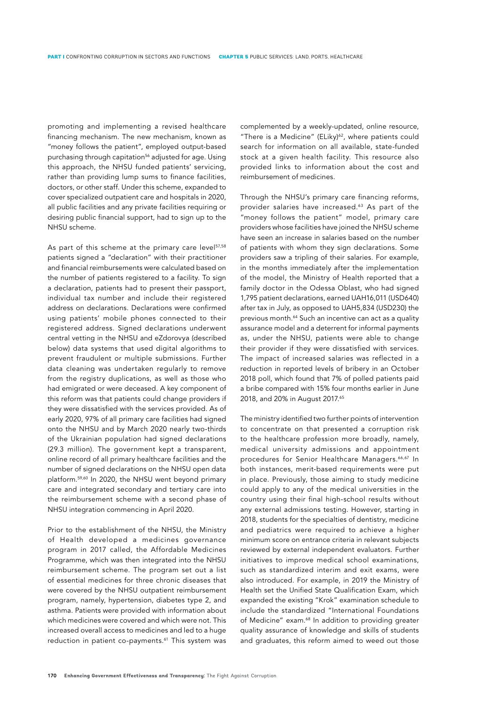promoting and implementing a revised healthcare financing mechanism. The new mechanism, known as "money follows the patient", employed output-based purchasing through capitation<sup>56</sup> adjusted for age. Using this approach, the NHSU funded patients' servicing, rather than providing lump sums to finance facilities, doctors, or other staff. Under this scheme, expanded to cover specialized outpatient care and hospitals in 2020, all public facilities and any private facilities requiring or desiring public financial support, had to sign up to the NHSU scheme.

As part of this scheme at the primary care level<sup>57,58</sup> patients signed a "declaration" with their practitioner and financial reimbursements were calculated based on the number of patients registered to a facility. To sign a declaration, patients had to present their passport, individual tax number and include their registered address on declarations. Declarations were confirmed using patients' mobile phones connected to their registered address. Signed declarations underwent central vetting in the NHSU and eZdorovya (described below) data systems that used digital algorithms to prevent fraudulent or multiple submissions. Further data cleaning was undertaken regularly to remove from the registry duplications, as well as those who had emigrated or were deceased. A key component of this reform was that patients could change providers if they were dissatisfied with the services provided. As of early 2020, 97% of all primary care facilities had signed onto the NHSU and by March 2020 nearly two-thirds of the Ukrainian population had signed declarations (29.3 million). The government kept a transparent, online record of all primary healthcare facilities and the number of signed declarations on the NHSU open data platform.59,60 In 2020, the NHSU went beyond primary care and integrated secondary and tertiary care into the reimbursement scheme with a second phase of NHSU integration commencing in April 2020.

Prior to the establishment of the NHSU, the Ministry of Health developed a medicines governance program in 2017 called, the Affordable Medicines Programme, which was then integrated into the NHSU reimbursement scheme. The program set out a list of essential medicines for three chronic diseases that were covered by the NHSU outpatient reimbursement program, namely, hypertension, diabetes type 2, and asthma. Patients were provided with information about which medicines were covered and which were not. This increased overall access to medicines and led to a huge reduction in patient co-payments.<sup>61</sup> This system was

complemented by a weekly-updated, online resource, "There is a Medicine" (ELiky)<sup>62</sup>, where patients could search for information on all available, state-funded stock at a given health facility. This resource also provided links to information about the cost and reimbursement of medicines.

Through the NHSU's primary care financing reforms, provider salaries have increased.<sup>63</sup> As part of the "money follows the patient" model, primary care providers whose facilities have joined the NHSU scheme have seen an increase in salaries based on the number of patients with whom they sign declarations. Some providers saw a tripling of their salaries. For example, in the months immediately after the implementation of the model, the Ministry of Health reported that a family doctor in the Odessa Oblast, who had signed 1,795 patient declarations, earned UAH16,011 (USD640) after tax in July, as opposed to UAH5,834 (USD230) the previous month.64 Such an incentive can act as a quality assurance model and a deterrent for informal payments as, under the NHSU, patients were able to change their provider if they were dissatisfied with services. The impact of increased salaries was reflected in a reduction in reported levels of bribery in an October 2018 poll, which found that 7% of polled patients paid a bribe compared with 15% four months earlier in June 2018, and 20% in August 2017.<sup>65</sup>

The ministry identified two further points of intervention to concentrate on that presented a corruption risk to the healthcare profession more broadly, namely, medical university admissions and appointment procedures for Senior Healthcare Managers.<sup>66,67</sup> In both instances, merit-based requirements were put in place. Previously, those aiming to study medicine could apply to any of the medical universities in the country using their final high-school results without any external admissions testing. However, starting in 2018, students for the specialties of dentistry, medicine and pediatrics were required to achieve a higher minimum score on entrance criteria in relevant subjects reviewed by external independent evaluators. Further initiatives to improve medical school examinations, such as standardized interim and exit exams, were also introduced. For example, in 2019 the Ministry of Health set the Unified State Qualification Exam, which expanded the existing "Krok" examination schedule to include the standardized "International Foundations of Medicine" exam.<sup>68</sup> In addition to providing greater quality assurance of knowledge and skills of students and graduates, this reform aimed to weed out those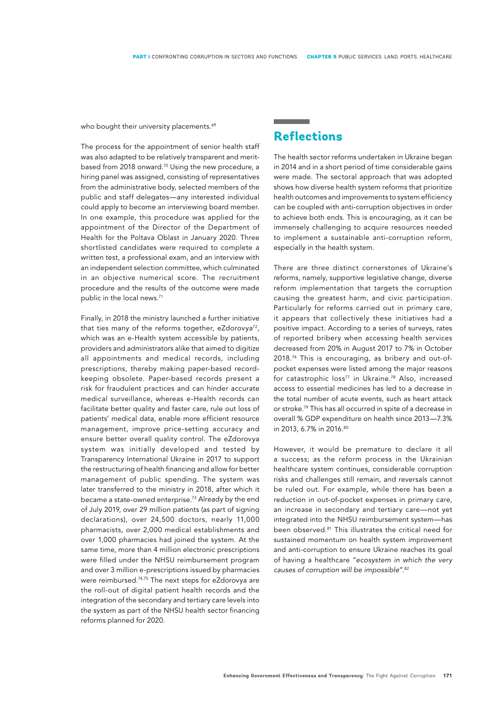who bought their university placements.<sup>69</sup>

The process for the appointment of senior health staff was also adapted to be relatively transparent and meritbased from 2018 onward.<sup>70</sup> Using the new procedure, a hiring panel was assigned, consisting of representatives from the administrative body, selected members of the public and staff delegates—any interested individual could apply to become an interviewing board member. In one example, this procedure was applied for the appointment of the Director of the Department of Health for the Poltava Oblast in January 2020. Three shortlisted candidates were required to complete a written test, a professional exam, and an interview with an independent selection committee, which culminated in an objective numerical score. The recruitment procedure and the results of the outcome were made public in the local news.<sup>71</sup>

Finally, in 2018 the ministry launched a further initiative that ties many of the reforms together, eZdorovya<sup>72</sup>, which was an e-Health system accessible by patients, providers and administrators alike that aimed to digitize all appointments and medical records, including prescriptions, thereby making paper-based recordkeeping obsolete. Paper-based records present a risk for fraudulent practices and can hinder accurate medical surveillance, whereas e-Health records can facilitate better quality and faster care, rule out loss of patients' medical data, enable more efficient resource management, improve price-setting accuracy and ensure better overall quality control. The eZdorovya system was initially developed and tested by Transparency International Ukraine in 2017 to support the restructuring of health financing and allow for better management of public spending. The system was later transferred to the ministry in 2018, after which it became a state-owned enterprise.73 Already by the end of July 2019, over 29 million patients (as part of signing declarations), over 24,500 doctors, nearly 11,000 pharmacists, over 2,000 medical establishments and over 1,000 pharmacies had joined the system. At the same time, more than 4 million electronic prescriptions were filled under the NHSU reimbursement program and over 3 million e-prescriptions issued by pharmacies were reimbursed.74,75 The next steps for eZdorovya are the roll-out of digital patient health records and the integration of the secondary and tertiary care levels into the system as part of the NHSU health sector financing reforms planned for 2020.

# **Reflections**

The health sector reforms undertaken in Ukraine began in 2014 and in a short period of time considerable gains were made. The sectoral approach that was adopted shows how diverse health system reforms that prioritize health outcomes and improvements to system efficiency can be coupled with anti-corruption objectives in order to achieve both ends. This is encouraging, as it can be immensely challenging to acquire resources needed to implement a sustainable anti-corruption reform, especially in the health system.

There are three distinct cornerstones of Ukraine's reforms, namely, supportive legislative change, diverse reform implementation that targets the corruption causing the greatest harm, and civic participation. Particularly for reforms carried out in primary care, it appears that collectively these initiatives had a positive impact. According to a series of surveys, rates of reported bribery when accessing health services decreased from 20% in August 2017 to 7% in October 2018.76 This is encouraging, as bribery and out-ofpocket expenses were listed among the major reasons for catastrophic loss<sup>77</sup> in Ukraine.<sup>78</sup> Also, increased access to essential medicines has led to a decrease in the total number of acute events, such as heart attack or stroke.79 This has all occurred in spite of a decrease in overall % GDP expenditure on health since 2013—7.3% in 2013, 6.7% in 2016.<sup>80</sup>

However, it would be premature to declare it all a success; as the reform process in the Ukrainian healthcare system continues, considerable corruption risks and challenges still remain, and reversals cannot be ruled out. For example, while there has been a reduction in out-of-pocket expenses in primary care, an increase in secondary and tertiary care—not yet integrated into the NHSU reimbursement system—has been observed.81 This illustrates the critical need for sustained momentum on health system improvement and anti-corruption to ensure Ukraine reaches its goal of having a healthcare "*ecosystem in which the very causes of corruption will be impossible*".82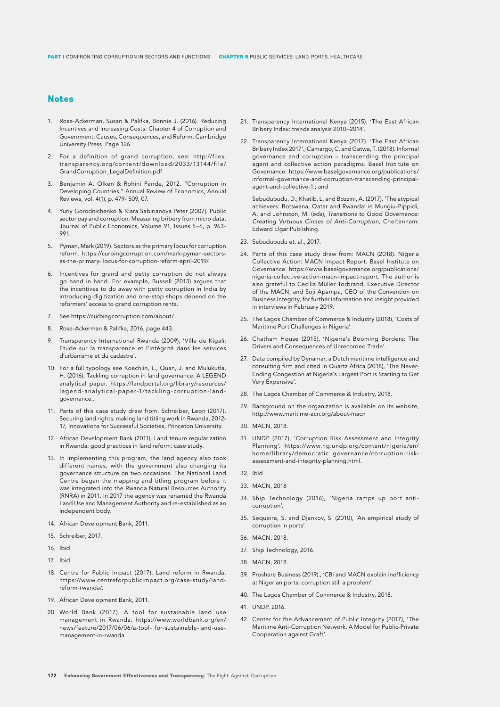## **Notes**

- 1. Rose-Ackerman, Susan & Palifka, Bonnie J. (2016). Reducing Incentives and Increasing Costs. Chapter 4 of Corruption and Government: Causes, Consequences, and Reform. Cambridge University Press. Page 126.
- 2. For a definition of grand corruption, see: http://files. transparency.org/content/download/2033/13144/file/ GrandCorruption\_LegalDefinition.pdf
- 3. Benjamin A. Olken & Rohini Pande, 2012. "Corruption in Developing Countries," Annual Review of Economics, Annual Reviews, vol. 4(1), p. 479- 509, 07.
- 4. Yuriy Gorodnichenko & Klara Sabirianova Peter (2007). Public sector pay and corruption: Measuring bribery from micro data, Journal of Public Economics, Volume 91, Issues 5–6, p. 963- 991.
- 5. Pyman, Mark (2019). Sectors as the primary locus for corruption reform. https://curbingcorruption.com/mark-pyman-sectorsas-the-primary- locus-for-corruption-reform-april-2019/.
- 6. Incentives for grand and petty corruption do not always go hand in hand. For example, Bussell (2013) argues that the incentives to do away with petty corruption in India by introducing digitization and one-stop shops depend on the reformers' access to grand corruption rents.
- 7. See https://curbingcorruption.com/about/.
- 8. Rose-Ackerman & Palifka, 2016, page 443.
- 9. Transparency International Rwanda (2009), 'Ville de Kigali: Etude sur la transparence et l'intégrité dans les services d'urbanisme et du cadastre'.
- 10. For a full typology see Koechlin, L., Quan, J. and Mulukutla, H. (2016), Tackling corruption in land governance. A LEGEND analytical paper. https://landportal.org/library/resources/ legend-analytical-paper-1/tackling-corruption-landgovernance..
- 11. Parts of this case study draw from: Schreiber, Leon (2017), Securing land rights: making land titling work in Rwanda, 2012- 17, Innovations for Successful Societies, Princeton University.
- 12. African Development Bank (2011), Land tenure regularization in Rwanda: good practices in land reform: case study.
- 13. In implementing this program, the land agency also took different names, with the government also changing its governance structure on two occasions. The National Land Centre began the mapping and titling program before it was integrated into the Rwanda Natural Resources Authority (RNRA) in 2011. In 2017 the agency was renamed the Rwanda Land Use and Management Authority and re-established as an independent body.
- 14. African Development Bank, 2011.
- 15. Schreiber, 2017.
- 16. Ibid
- 17. Ibid
- 18. Centre for Public Impact (2017). Land reform in Rwanda. https://www.centreforpublicimpact.org/case-study/landreform-rwanda/.
- 19. African Development Bank, 2011.
- 20. World Bank (2017). A tool for sustainable land use management in Rwanda. https://www.worldbank.org/en/ news/feature/2017/06/06/a-tool- for-sustainable-land-usemanagement-in-rwanda.
- 21. Transparency International Kenya (2015). 'The East African Bribery Index: trends analysis 2010–2014'.
- 22. Transparency International Kenya (2017). 'The East African Bribery Index 2017'.; Camargo, C. and Gatwa, T. (2018). Informal governance and corruption – transcending the principal agent and collective action paradigms. Basel Institute on Governance. https://www.baselgovernance.org/publications/ informal-governance-and-corruption-transcending-principalagent-and-collective-1.; and

Sebudubudu, D., Khatib, L. and Bozzini, A. (2017). 'The atypical achievers: Botswana, Qatar and Rwanda' in Mungiu-Pippidi, A. and Johnston, M. (eds), *Transitions to Good Governance: Creating Virtuous Circles of Anti-Corruption,* Cheltenham: Edward Elgar Publishing.

- 23. Sebudubudu et. al., 2017.
- 24. Parts of this case study draw from: MACN (2018). Nigeria Collective Action: MACN Impact Report. Basel Institute on Governance. https://www.baselgovernance.org/publications/ nigeria-collective-action-macn-impact-report. The author is also grateful to Cecilia Müller Torbrand, Executive Director of the MACN, and Soji Apampa, CEO of the Convention on Business Integrity, for further information and insight provided in interviews in February 2019.
- 25. The Lagos Chamber of Commerce & Industry (2018), 'Costs of Maritime Port Challenges in Nigeria'.
- 26. Chatham House (2015), 'Nigeria's Booming Borders: The Drivers and Consequences of Unrecorded Trade'.
- 27. Data compiled by Dynamar, a Dutch maritime intelligence and consulting firm and cited in Quartz Africa (2018), 'The Never-Ending Congestion at Nigeria's Largest Port is Starting to Get Very Expensive'.
- 28. The Lagos Chamber of Commerce & Industry, 2018.
- 29. Background on the organization is available on its website, http://www.maritime-acn.org/about-macn
- 30. MACN, 2018.
- 31. UNDP (2017), 'Corruption Risk Assessment and Integrity Planning'. https://www.ng.undp.org/content/nigeria/en/ home/library/democratic\_governance/corruption-riskassessment-and-integrity-planning.html.

32. Ibid

- 33. MACN, 2018
- 34. Ship Technology (2016), 'Nigeria ramps up port anticorruption'.
- 35. Sequeira, S. and Djankov, S. (2010), 'An empirical study of corruption in ports'.
- 36. MACN, 2018.
- 37. Ship Technology, 2016.
- 38. MACN, 2018.
- 39. Proshare Business (2019)., 'CBi and MACN explain inefficiency at Nigerian ports; corruption still a problem'.
- 40. The Lagos Chamber of Commerce & Industry, 2018.
- 41. UNDP, 2016.
- 42. Center for the Advancement of Public Integrity (2017), 'The Maritime Anti-Corruption Network. A Model for Public-Private Cooperation against Graft'.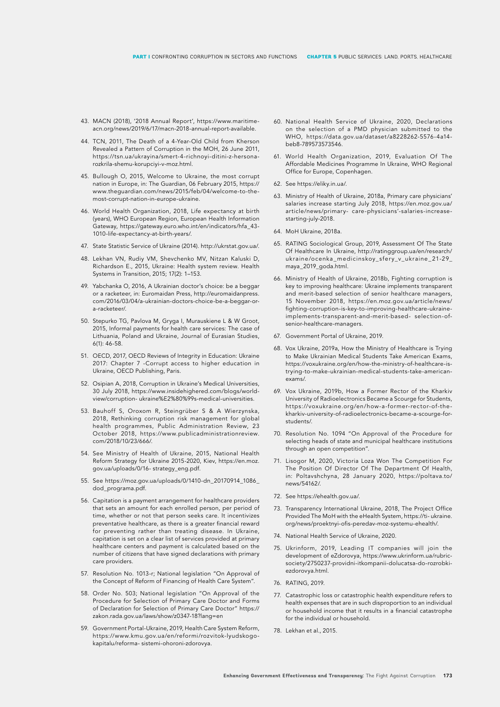- 43. MACN (2018), '2018 Annual Report', https://www.maritimeacn.org/news/2019/6/17/macn-2018-annual-report-available.
- 44. TCN, 2011, The Death of a 4-Year-Old Child from Kherson Revealed a Pattern of Corruption in the MOH, 26 June 2011, https://tsn.ua/ukrayina/smert-4-richnoyi-ditini-z-hersonarozkrila-shemu-korupciyi-v-moz.html.
- 45. Bullough O, 2015, Welcome to Ukraine, the most corrupt nation in Europe, in: The Guardian, 06 February 2015, https:// www.theguardian.com/news/2015/feb/04/welcome-to-themost-corrupt-nation-in-europe-ukraine.
- 46. World Health Organization, 2018, Life expectancy at birth (years), WHO European Region, European Health Information Gateway, https://gateway.euro.who.int/en/indicators/hfa\_43- 1010-life-expectancy-at-birth-years/.
- 47. State Statistic Service of Ukraine (2014). http://ukrstat.gov.ua/.
- 48. Lekhan VN, Rudiy VM, Shevchenko MV, Nitzan Kaluski D, Richardson E., 2015, Ukraine: Health system review. Health Systems in Transition, 2015; 17(2): 1–153.
- 49. Yabchanka O, 2016, A Ukrainian doctor's choice: be a beggar or a racketeer, in: Euromaidan Press, http://euromaidanpress. com/2016/03/04/a-ukrainian-doctors-choice-be-a-beggar-ora-racketeer/.
- 50. Stepurko TG, Pavlova M, Gryga I, Murauskiene L & W Groot, 2015, Informal payments for health care services: The case of Lithuania, Poland and Ukraine, Journal of Eurasian Studies, 6(1): 46-58.
- 51. OECD, 2017, OECD Reviews of Integrity in Education: Ukraine 2017: Chapter 7 -Corrupt access to higher education in Ukraine, OECD Publishing, Paris.
- 52. Osipian A, 2018, Corruption in Ukraine's Medical Universities, 30 July 2018, https://www.insidehighered.com/blogs/worldview/corruption- ukraine%E2%80%99s-medical-universities.
- 53. Bauhoff S, Oroxom R, Steingrüber S & A Wierzynska, 2018, Rethinking corruption risk management for global health programmes, Public Administration Review, 23 October 2018, https://www.publicadministrationreview. com/2018/10/23/666/.
- 54. See Ministry of Health of Ukraine, 2015, National Health Reform Strategy for Ukraine 2015-2020, Kiev, https://en.moz. gov.ua/uploads/0/16- strategy\_eng.pdf.
- 55. See https://moz.gov.ua/uploads/0/1410-dn\_20170914\_1086\_ dod\_programa.pdf.
- 56. Capitation is a payment arrangement for healthcare providers that sets an amount for each enrolled person, per period of time, whether or not that person seeks care. It incentivizes preventative healthcare, as there is a greater financial reward for preventing rather than treating disease. In Ukraine, capitation is set on a clear list of services provided at primary healthcare centers and payment is calculated based on the number of citizens that have signed declarations with primary care providers.
- 57. Resolution No. 1013-r; National legislation "On Approval of the Concept of Reform of Financing of Health Care System".
- 58. Order No. 503; National legislation "On Approval of the Procedure for Selection of Primary Care Doctor and Forms of Declaration for Selection of Primary Care Doctor" https:// zakon.rada.gov.ua/laws/show/z0347-18?lang=en
- 59. Government Portal-Ukraine, 2019, Health Care System Reform, https://www.kmu.gov.ua/en/reformi/rozvitok-lyudskogokapitalu/reforma- sistemi-ohoroni-zdorovya.
- 60. National Health Service of Ukraine, 2020, Declarations on the selection of a PMD physician submitted to the WHO, https://data.gov.ua/dataset/a8228262-5576-4a14 beb8-789573573546.
- 61. World Health Organization, 2019, Evaluation Of The Affordable Medicines Programme In Ukraine, WHO Regional Office for Europe, Copenhagen.
- 62. See https://eliky.in.ua/.
- 63. Ministry of Health of Ukraine, 2018a, Primary care physicians' salaries increase starting July 2018, https://en.moz.gov.ua/ article/news/primary- care-physicians'-salaries-increasestarting-july-2018.
- 64. MoH Ukraine, 2018a.
- 65. RATING Sociological Group, 2019, Assessment Of The State Of Healthcare In Ukraine, http://ratinggroup.ua/en/research/ ukraine/ocenka\_medicinskoy\_sfery\_v\_ukraine\_21-29\_ maya\_2019\_goda.html.
- 66. Ministry of Health of Ukraine, 2018b, Fighting corruption is key to improving healthcare: Ukraine implements transparent and merit-based selection of senior healthcare managers, 15 November 2018, https://en.moz.gov.ua/article/news/ fighting-corruption-is-key-to-improving-healthcare-ukraineimplements-transparent-and-merit-based- selection-ofsenior-healthcare-managers.
- 67. Government Portal of Ukraine, 2019.
- 68. Vox Ukraine, 2019a, How the Ministry of Healthcare is Trying to Make Ukrainian Medical Students Take American Exams, https://voxukraine.org/en/how-the-ministry-of-healthcare-istrying-to-make-ukrainian-medical-students-take-americanexams/.
- 69. Vox Ukraine, 2019b, How a Former Rector of the Kharkiv University of Radioelectronics Became a Scourge for Students, https://voxukraine.org/en/how-a-former-rector-of-thekharkiv-university-of-radioelectronics-became-a-scourge-forstudents/.
- 70. Resolution No. 1094 "On Approval of the Procedure for selecting heads of state and municipal healthcare institutions through an open competition".
- 71. Lisogor M, 2020, Victoria Loza Won The Competition For The Position Of Director Of The Department Of Health, in: Poltavshchyna, 28 January 2020, https://poltava.to/ news/54162/.
- 72. See https://ehealth.gov.ua/.
- 73. Transparency International Ukraine, 2018, The Project Office Provided The MoH with the eHealth System, https://ti- ukraine. org/news/proektnyi-ofis-peredav-moz-systemu-ehealth/.
- 74. National Health Service of Ukraine, 2020.
- 75. Ukrinform, 2019, Leading IT companies will join the development of eZdorovya, https://www.ukrinform.ua/rubricsociety/2750237-providni-itkompanii-dolucatsa-do-rozrobkiezdorovya.html.
- 76. RATING, 2019.
- 77. Catastrophic loss or catastrophic health expenditure refers to health expenses that are in such disproportion to an individual or household income that it results in a financial catastrophe for the individual or household.
- 78. Lekhan et al., 2015.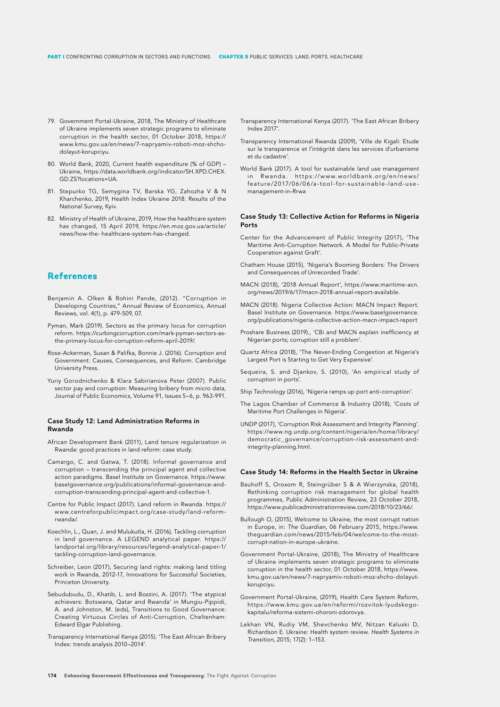- 79. Government Portal-Ukraine, 2018, The Ministry of Healthcare of Ukraine implements seven strategic programs to eliminate corruption in the health sector, 01 October 2018, https:// www.kmu.gov.ua/en/news/7-napryamiv-roboti-moz-shchodolayut-korupciyu.
- 80. World Bank, 2020, Current health expenditure (% of GDP) Ukraine, https://data.worldbank.org/indicator/SH.XPD.CHEX. GD.ZS?locations=UA.
- 81. Stepurko TG, Semygina TV, Barska YG, Zahozha V & N Kharchenko, 2019, Health Index Ukraine 2018: Results of the National Survey, Kyiv.
- 82. Ministry of Health of Ukraine, 2019, How the healthcare system has changed, 15 April 2019, https://en.moz.gov.ua/article/ news/how-the- healthcare-system-has-changed.

## **References**

- Benjamin A. Olken & Rohini Pande, (2012). "Corruption in Developing Countries," Annual Review of Economics, Annual Reviews, vol. 4(1), p. 479-509, 07.
- Pyman, Mark (2019). Sectors as the primary locus for corruption reform. https://curbingcorruption.com/mark-pyman-sectors-asthe-primary-locus-for-corruption-reform-april-2019/.
- Rose-Ackerman, Susan & Palifka, Bonnie J. (2016). Corruption and Government: Causes, Consequences, and Reform. Cambridge University Press.
- Yuriy Gorodnichenko & Klara Sabirianova Peter (2007). Public sector pay and corruption: Measuring bribery from micro data, Journal of Public Economics, Volume 91, Issues 5–6, p. 963-991.

#### Case Study 12: Land Administration Reforms in Rwanda

- African Development Bank (2011), Land tenure regularization in Rwanda: good practices in land reform: case study.
- Camargo, C. and Gatwa, T. (2018). Informal governance and corruption – transcending the principal agent and collective action paradigms. Basel Institute on Governance. https://www. baselgovernance.org/publications/informal-governance-andcorruption-transcending-principal-agent-and-collective-1.
- Centre for Public Impact (2017). Land reform in Rwanda. https:// www.centreforpublicimpact.org/case-study/land-reformrwanda/.
- Koechlin, L., Quan, J. and Mulukutla, H. (2016), Tackling corruption in land governance. A LEGEND analytical paper. https:// landportal.org/library/resources/legend-analytical-paper-1/ tackling-corruption-land-governance.
- Schreiber, Leon (2017), Securing land rights: making land titling work in Rwanda, 2012-17, Innovations for Successful Societies, Princeton University.
- Sebudubudu, D., Khatib, L. and Bozzini, A. (2017). 'The atypical achievers: Botswana, Qatar and Rwanda' in Mungiu-Pippidi, A. and Johnston, M. (eds), Transitions to Good Governance: Creating Virtuous Circles of Anti-Corruption, Cheltenham: Edward Elgar Publishing.
- Transparency International Kenya (2015). 'The East African Bribery Index: trends analysis 2010–2014'.
- Transparency International Kenya (2017). 'The East African Bribery Index 2017'.
- Transparency International Rwanda (2009), 'Ville de Kigali: Etude sur la transparence et l'intégrité dans les services d'urbanisme et du cadastre'.
- World Bank (2017). A tool for sustainable land use management in Rwanda. https://www.worldbank.org/en/news/ feature/2017/06/06/a-tool-for-sustainable-land-usemanagement-in-Rrwa

### Case Study 13: Collective Action for Reforms in Nigeria Ports

- Center for the Advancement of Public Integrity (2017), 'The Maritime Anti-Corruption Network. A Model for Public-Private Cooperation against Graft'.
- Chatham House (2015), 'Nigeria's Booming Borders: The Drivers and Consequences of Unrecorded Trade'.
- MACN (2018), '2018 Annual Report', https://www.maritime-acn. org/news/2019/6/17/macn-2018-annual-report-available.
- MACN (2018). Nigeria Collective Action: MACN Impact Report. Basel Institute on Governance. https://www.baselgovernance. org/publications/nigeria-collective-action-macn-impact-report
- Proshare Business (2019)., 'CBi and MACN explain inefficiency at Nigerian ports; corruption still a problem'.
- Quartz Africa (2018), 'The Never-Ending Congestion at Nigeria's Largest Port is Starting to Get Very Expensive'.
- Sequeira, S. and Djankov, S. (2010), 'An empirical study of corruption in ports'.

Ship Technology (2016), 'Nigeria ramps up port anti-corruption'.

- The Lagos Chamber of Commerce & Industry (2018), 'Costs of Maritime Port Challenges in Nigeria'.
- UNDP (2017), 'Corruption Risk Assessment and Integrity Planning'. https://www.ng.undp.org/content/nigeria/en/home/library/ democratic\_governance/corruption-risk-assessment-andintegrity-planning.html.

#### Case Study 14: Reforms in the Health Sector in Ukraine

- Bauhoff S, Oroxom R, Steingrüber S & A Wierzynska, (2018), Rethinking corruption risk management for global health programmes, Public Administration Review, 23 October 2018, https://www.publicadministrationreview.com/2018/10/23/66/.
- Bullough O, (2015), Welcome to Ukraine, the most corrupt nation in Europe, in: *The Guardian,* 06 February 2015, https://www. theguardian.com/news/2015/feb/04/welcome-to-the-mostcorrupt-nation-in-europe-ukraine.
- Government Portal-Ukraine, (2018), The Ministry of Healthcare of Ukraine implements seven strategic programs to eliminate corruption in the health sector, 01 October 2018, https://www. kmu.gov.ua/en/news/7-napryamiv-roboti-moz-shcho-dolayutkorupciyu.
- Government Portal-Ukraine, (2019), Health Care System Reform, https://www.kmu.gov.ua/en/reformi/rozvitok-lyudskogokapitalu/reforma-sistemi-ohoroni-zdorovya.
- Lekhan VN, Rudiy VM, Shevchenko MV, Nitzan Kaluski D, Richardson E. Ukraine: Health system review. *Health Systems in Transition,* 2015; 17(2): 1–153.